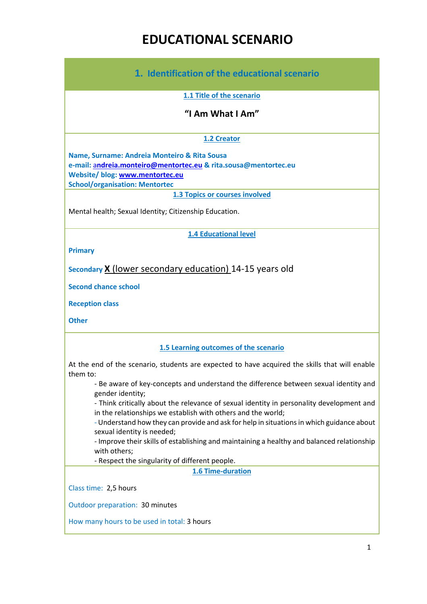# **EDUCATIONAL SCENARIO**

| 1. Identification of the educational scenario                                                                                                                                               |
|---------------------------------------------------------------------------------------------------------------------------------------------------------------------------------------------|
| 1.1 Title of the scenario                                                                                                                                                                   |
| "I Am What I Am"                                                                                                                                                                            |
| 1.2 Creator                                                                                                                                                                                 |
| Name, Surname: Andreia Monteiro & Rita Sousa<br>e-mail: andreia.monteiro@mentortec.eu & rita.sousa@mentortec.eu<br>Website/ blog: www.mentortec.eu<br><b>School/organisation: Mentortec</b> |
| <b>1.3 Topics or courses involved</b>                                                                                                                                                       |
| Mental health; Sexual Identity; Citizenship Education.                                                                                                                                      |
| <b>1.4 Educational level</b>                                                                                                                                                                |
| <b>Primary</b>                                                                                                                                                                              |
| Secondary X (lower secondary education) 14-15 years old                                                                                                                                     |
| <b>Second chance school</b>                                                                                                                                                                 |
| <b>Reception class</b>                                                                                                                                                                      |
| <b>Other</b>                                                                                                                                                                                |
| 1.5 Learning outcomes of the scenario                                                                                                                                                       |
| At the end of the scenario, students are expected to have acquired the skills that will enable<br>them to:                                                                                  |
| - Be aware of key-concepts and understand the difference between sexual identity and<br>gender identity;                                                                                    |
| - Think critically about the relevance of sexual identity in personality development and                                                                                                    |
| in the relationships we establish with others and the world;<br>- Understand how they can provide and ask for help in situations in which guidance about<br>sexual identity is needed;      |
| - Improve their skills of establishing and maintaining a healthy and balanced relationship<br>with others;                                                                                  |
| - Respect the singularity of different people.                                                                                                                                              |
| 1.6 Time-duration                                                                                                                                                                           |
| Class time: 2,5 hours                                                                                                                                                                       |
| Outdoor preparation: 30 minutes                                                                                                                                                             |
| How many hours to be used in total: 3 hours                                                                                                                                                 |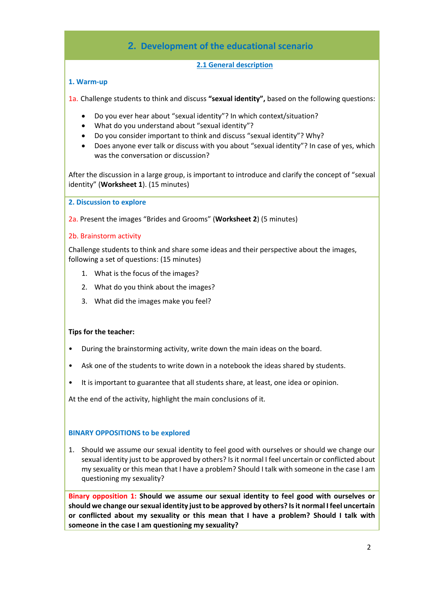### **2. Development of the educational scenario**

### **2.1 General description**

### **1. Warm-up**

1a. Challenge students to think and discuss **"sexual identity",** based on the following questions:

- Do you ever hear about "sexual identity"? In which context/situation?
- What do you understand about "sexual identity"?
- Do you consider important to think and discuss "sexual identity"? Why?
- Does anyone ever talk or discuss with you about "sexual identity"? In case of yes, which was the conversation or discussion?

After the discussion in a large group, is important to introduce and clarify the concept of "sexual identity" (**Worksheet 1**). (15 minutes)

**2. Discussion to explore** 

2a. Present the images "Brides and Grooms" (**Worksheet 2**) (5 minutes)

### 2b. Brainstorm activity

Challenge students to think and share some ideas and their perspective about the images, following a set of questions: (15 minutes)

- 1. What is the focus of the images?
- 2. What do you think about the images?
- 3. What did the images make you feel?

### **Tips for the teacher:**

- During the brainstorming activity, write down the main ideas on the board.
- Ask one of the students to write down in a notebook the ideas shared by students.
- It is important to guarantee that all students share, at least, one idea or opinion.

At the end of the activity, highlight the main conclusions of it.

### **BINARY OPPOSITIONS to be explored**

1. Should we assume our sexual identity to feel good with ourselves or should we change our sexual identity just to be approved by others? Is it normal I feel uncertain or conflicted about my sexuality or this mean that I have a problem? Should I talk with someone in the case I am questioning my sexuality?

**Binary opposition 1: Should we assume our sexual identity to feel good with ourselves or should we change our sexual identity just to be approved by others? Is it normal I feel uncertain or conflicted about my sexuality or this mean that I have a problem? Should I talk with someone in the case I am questioning my sexuality?**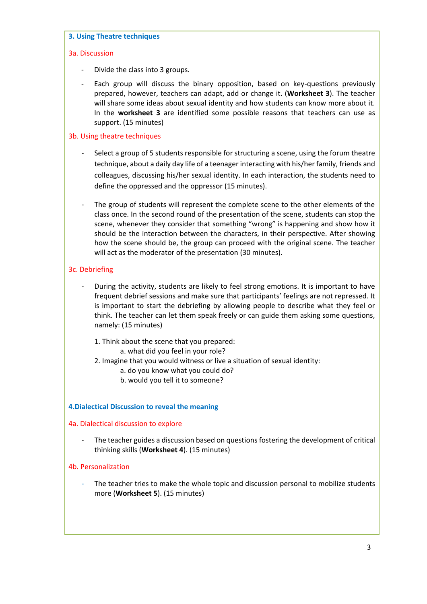#### **3. Using Theatre techniques**

### 3a. Discussion

- Divide the class into 3 groups.
- Each group will discuss the binary opposition, based on key-questions previously prepared, however, teachers can adapt, add or change it. (**Worksheet 3**). The teacher will share some ideas about sexual identity and how students can know more about it. In the **worksheet 3** are identified some possible reasons that teachers can use as support. (15 minutes)

### 3b. Using theatre techniques

- Select a group of 5 students responsible for structuring a scene, using the forum theatre technique, about a daily day life of a teenager interacting with his/her family, friends and colleagues, discussing his/her sexual identity. In each interaction, the students need to define the oppressed and the oppressor (15 minutes).
- The group of students will represent the complete scene to the other elements of the class once. In the second round of the presentation of the scene, students can stop the scene, whenever they consider that something "wrong" is happening and show how it should be the interaction between the characters, in their perspective. After showing how the scene should be, the group can proceed with the original scene. The teacher will act as the moderator of the presentation (30 minutes).

### 3c. Debriefing

- During the activity, students are likely to feel strong emotions. It is important to have frequent debrief sessions and make sure that participants' feelings are not repressed. It is important to start the debriefing by allowing people to describe what they feel or think. The teacher can let them speak freely or can guide them asking some questions, namely: (15 minutes)
	- 1. Think about the scene that you prepared: a. what did you feel in your role?
	- 2. Imagine that you would witness or live a situation of sexual identity:
		- a. do you know what you could do?
		- b. would you tell it to someone?

### **4.Dialectical Discussion to reveal the meaning**

### 4a. Dialectical discussion to explore

- The teacher guides a discussion based on questions fostering the development of critical thinking skills (**Worksheet 4**). (15 minutes)

### 4b. Personalization

The teacher tries to make the whole topic and discussion personal to mobilize students more (**Worksheet 5**). (15 minutes)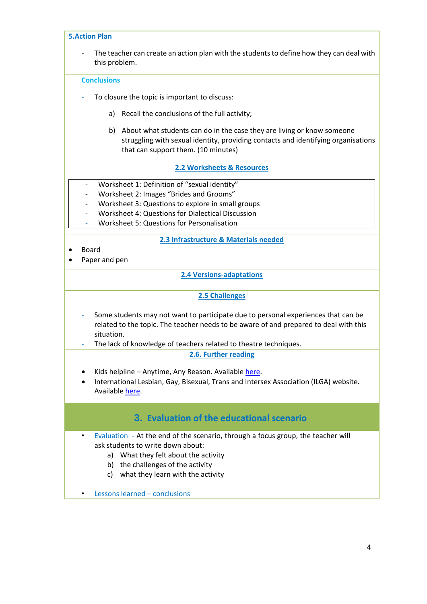| <b>5.Action Plan</b>                                                                                                                                                                                                                                                                                                                       |
|--------------------------------------------------------------------------------------------------------------------------------------------------------------------------------------------------------------------------------------------------------------------------------------------------------------------------------------------|
| The teacher can create an action plan with the students to define how they can deal with<br>this problem.                                                                                                                                                                                                                                  |
| <b>Conclusions</b>                                                                                                                                                                                                                                                                                                                         |
| To closure the topic is important to discuss:                                                                                                                                                                                                                                                                                              |
| Recall the conclusions of the full activity;<br>a)                                                                                                                                                                                                                                                                                         |
| b) About what students can do in the case they are living or know someone<br>struggling with sexual identity, providing contacts and identifying organisations<br>that can support them. (10 minutes)                                                                                                                                      |
| 2.2 Worksheets & Resources                                                                                                                                                                                                                                                                                                                 |
| Worksheet 1: Definition of "sexual identity"<br>$\overline{\phantom{0}}$<br>Worksheet 2: Images "Brides and Grooms"<br>Worksheet 3: Questions to explore in small groups<br>$\overline{\phantom{0}}$<br>Worksheet 4: Questions for Dialectical Discussion<br>$\overline{\phantom{0}}$<br><b>Worksheet 5: Questions for Personalisation</b> |
| 2.3 Infrastructure & Materials needed                                                                                                                                                                                                                                                                                                      |
| <b>Board</b><br>Paper and pen                                                                                                                                                                                                                                                                                                              |
| <b>2.4 Versions-adaptations</b>                                                                                                                                                                                                                                                                                                            |
| 2.5 Challenges                                                                                                                                                                                                                                                                                                                             |
| Some students may not want to participate due to personal experiences that can be<br>related to the topic. The teacher needs to be aware of and prepared to deal with this<br>situation.<br>The lack of knowledge of teachers related to theatre techniques.                                                                               |
| 2.6. Further reading                                                                                                                                                                                                                                                                                                                       |
| Kids helpline - Anytime, Any Reason. Available here.<br>International Lesbian, Gay, Bisexual, Trans and Intersex Association (ILGA) website.<br>Available here.                                                                                                                                                                            |
| 3. Evaluation of the educational scenario                                                                                                                                                                                                                                                                                                  |
| Evaluation - At the end of the scenario, through a focus group, the teacher will<br>$\bullet$<br>ask students to write down about:<br>a) What they felt about the activity<br>b) the challenges of the activity<br>what they learn with the activity<br>c)<br>Lessons learned - conclusions                                                |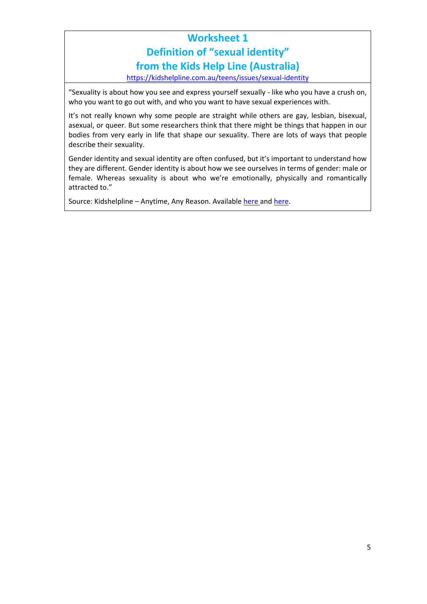# **Worksheet 1 Definition of "sexual identity" from the Kids Help Line (Australia)**

<https://kidshelpline.com.au/teens/issues/sexual-identity>

"Sexuality is about how you see and express yourself sexually - like who you have a crush on, who you want to go out with, and who you want to have sexual experiences with.

It's not really known why some people are straight while others are gay, lesbian, bisexual, asexual, or queer. But some researchers think that there might be things that happen in our bodies from very early in life that shape our sexuality. There are lots of ways that people describe their sexuality.

Gender identity and sexual identity are often confused, but it's important to understand how they are different. Gender identity is about how we see ourselves in terms of gender: male or female. Whereas sexuality is about who we're emotionally, physically and romantically attracted to."

Source: Kidshelpline – Anytime, Any Reason. Available [here](https://kidshelpline.com.au/teens/issues/sexual-identity) and [here.](https://kidshelpline.com.au/teens/issues/gender-identity)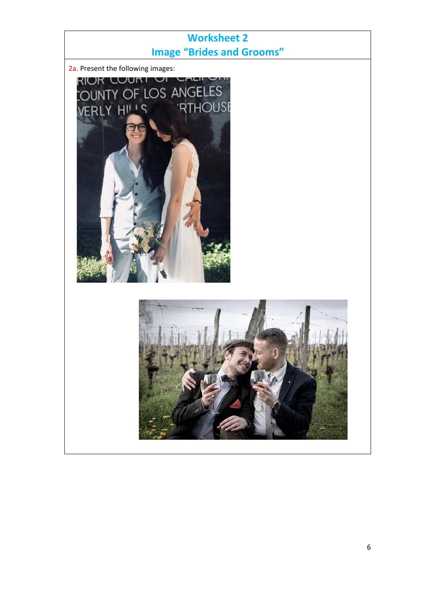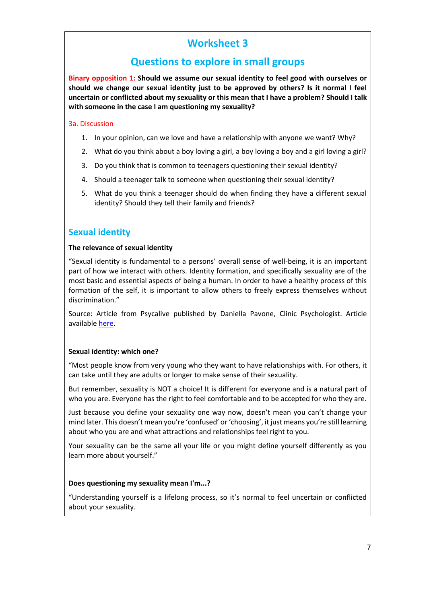# **Worksheet 3**

### **Questions to explore in small groups**

**Binary opposition 1: Should we assume our sexual identity to feel good with ourselves or should we change our sexual identity just to be approved by others? Is it normal I feel uncertain or conflicted about my sexuality or this mean that I have a problem? Should I talk with someone in the case I am questioning my sexuality?**

### 3a. Discussion

- 1. In your opinion, can we love and have a relationship with anyone we want? Why?
- 2. What do you think about a boy loving a girl, a boy loving a boy and a girl loving a girl?
- 3. Do you think that is common to teenagers questioning their sexual identity?
- 4. Should a teenager talk to someone when questioning their sexual identity?
- 5. What do you think a teenager should do when finding they have a different sexual identity? Should they tell their family and friends?

### **Sexual identity**

### **The relevance of sexual identity**

"Sexual identity is fundamental to a persons' overall sense of well-being, it is an important part of how we interact with others. Identity formation, and specifically sexuality are of the most basic and essential aspects of being a human. In order to have a healthy process of this formation of the self, it is important to allow others to freely express themselves without discrimination."

Source: Article from Psycalive published by Daniella Pavone, Clinic Psychologist. Article availabl[e here.](https://www.psychalive.org/personal-sexual-identity/)

### **Sexual identity: which one?**

"Most people know from very young who they want to have relationships with. For others, it can take until they are adults or longer to make sense of their sexuality.

But remember, sexuality is NOT a choice! It is different for everyone and is a natural part of who you are. Everyone has the right to feel comfortable and to be accepted for who they are.

Just because you define your sexuality one way now, doesn't mean you can't change your mind later. This doesn't mean you're 'confused' or 'choosing', it just means you're still learning about who you are and what attractions and relationships feel right to you.

Your sexuality can be the same all your life or you might define yourself differently as you learn more about yourself."

### **Does questioning my sexuality mean I'm...?**

"Understanding yourself is a lifelong process, so it's normal to feel uncertain or conflicted about your sexuality.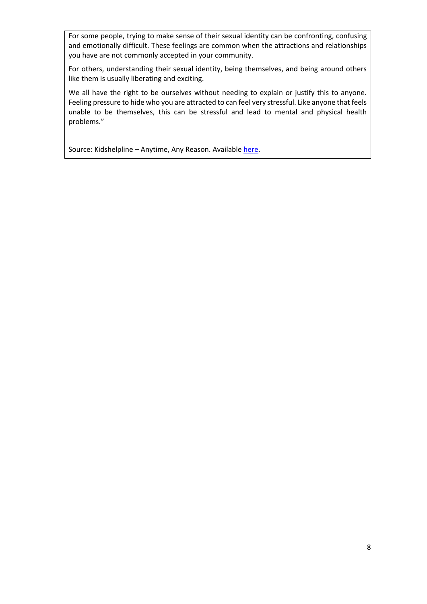For some people, trying to make sense of their sexual identity can be confronting, confusing and emotionally difficult. These feelings are common when the attractions and relationships you have are not commonly accepted in your community.

For others, understanding their sexual identity, being themselves, and being around others like them is usually liberating and exciting.

We all have the right to be ourselves without needing to explain or justify this to anyone. Feeling pressure to hide who you are attracted to can feel very stressful. Like anyone that feels unable to be themselves, this can be stressful and lead to mental and physical health problems."

Source: Kidshelpline - Anytime, Any Reason. Available [here.](https://kidshelpline.com.au/teens/issues/sexual-identity)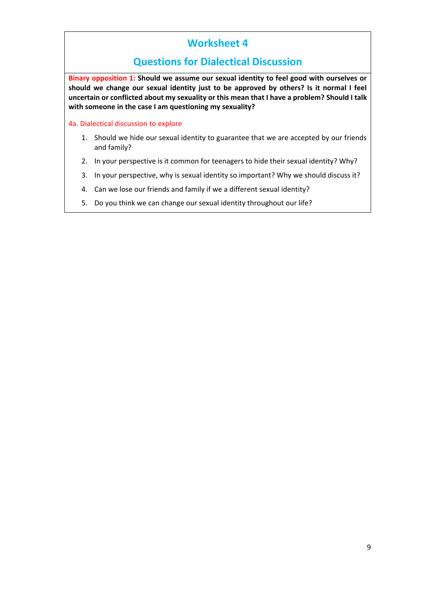## **Worksheet 4**

### **Questions for Dialectical Discussion**

**Binary opposition 1: Should we assume our sexual identity to feel good with ourselves or should we change our sexual identity just to be approved by others? Is it normal I feel uncertain or conflicted about my sexuality or this mean that I have a problem? Should I talk with someone in the case I am questioning my sexuality?**

4a. Dialectical discussion to explore

- 1. Should we hide our sexual identity to guarantee that we are accepted by our friends and family?
- 2. In your perspective is it common for teenagers to hide their sexual identity? Why?
- 3. In your perspective, why is sexual identity so important? Why we should discuss it?
- 4. Can we lose our friends and family if we a different sexual identity?
- 5. Do you think we can change our sexual identity throughout our life?